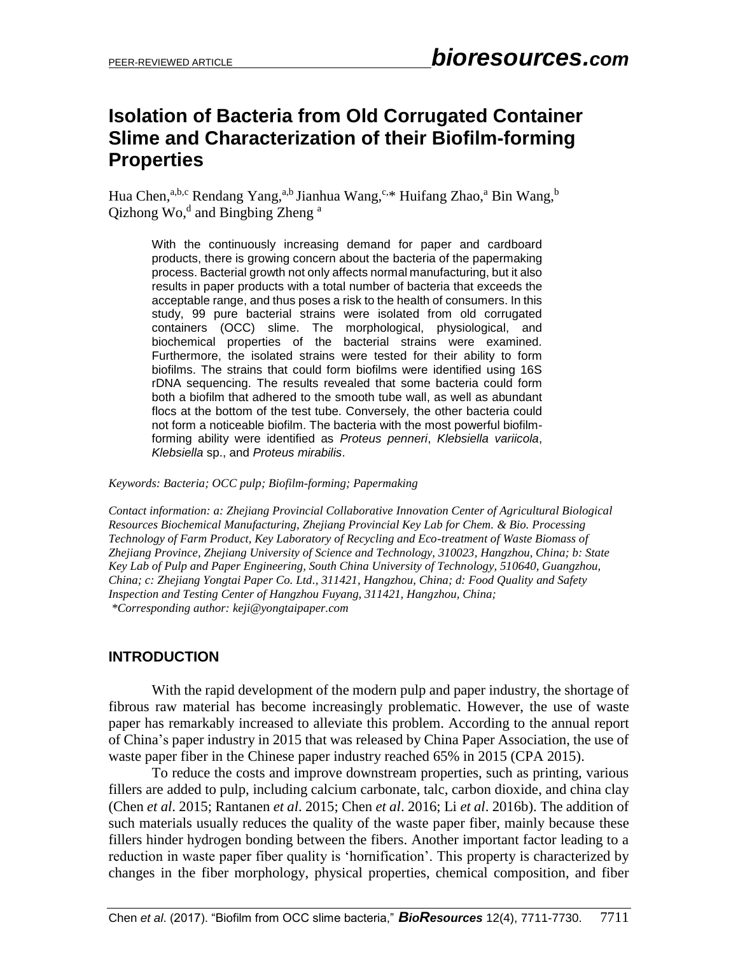## **Isolation of Bacteria from Old Corrugated Container Slime and Characterization of their Biofilm-forming Properties**

Hua Chen,<sup>a,b,c</sup> Rendang Yang,<sup>a,b</sup> Jianhua Wang,<sup>c,\*</sup> Huifang Zhao,<sup>a</sup> Bin Wang,<sup>b</sup> Qizhong Wo,<sup>d</sup> and Bingbing Zheng<sup>a</sup>

With the continuously increasing demand for paper and cardboard products, there is growing concern about the bacteria of the papermaking process. Bacterial growth not only affects normal manufacturing, but it also results in paper products with a total number of bacteria that exceeds the acceptable range, and thus poses a risk to the health of consumers. In this study, 99 pure bacterial strains were isolated from old corrugated containers (OCC) slime. The morphological, physiological, and biochemical properties of the bacterial strains were examined. Furthermore, the isolated strains were tested for their ability to form biofilms. The strains that could form biofilms were identified using 16S rDNA sequencing. The results revealed that some bacteria could form both a biofilm that adhered to the smooth tube wall, as well as abundant flocs at the bottom of the test tube. Conversely, the other bacteria could not form a noticeable biofilm. The bacteria with the most powerful biofilmforming ability were identified as *Proteus penneri*, *Klebsiella variicola*, *Klebsiella* sp., and *Proteus mirabilis*.

*Keywords: Bacteria; OCC pulp; Biofilm-forming; Papermaking*

*Contact information: a: Zhejiang Provincial Collaborative Innovation Center of Agricultural Biological Resources Biochemical Manufacturing, Zhejiang Provincial Key Lab for Chem. & Bio. Processing Technology of Farm Product, Key Laboratory of Recycling and Eco-treatment of Waste Biomass of Zhejiang Province, Zhejiang University of Science and Technology, 310023, Hangzhou, China; b: State Key Lab of Pulp and Paper Engineering, South China University of Technology, 510640, Guangzhou, China; c: Zhejiang Yongtai Paper Co. Ltd., 311421, Hangzhou, China; d: Food Quality and Safety Inspection and Testing Center of Hangzhou Fuyang, 311421, Hangzhou, China; \*Corresponding author: keji@yongtaipaper.com*

## **INTRODUCTION**

With the rapid development of the modern pulp and paper industry, the shortage of fibrous raw material has become increasingly problematic. However, the use of waste paper has remarkably increased to alleviate this problem. According to the annual report of China's paper industry in 2015 that was released by China Paper Association, the use of waste paper fiber in the Chinese paper industry reached 65% in 2015 (CPA 2015).

To reduce the costs and improve downstream properties, such as printing, various fillers are added to pulp, including calcium carbonate, talc, carbon dioxide, and china clay (Chen *et al*. 2015; Rantanen *et al*. 2015; Chen *et al*. 2016; Li *et al*. 2016b). The addition of such materials usually reduces the quality of the waste paper fiber, mainly because these fillers hinder hydrogen bonding between the fibers. Another important factor leading to a reduction in waste paper fiber quality is 'hornification'. This property is characterized by changes in the fiber morphology, physical properties, chemical composition, and fiber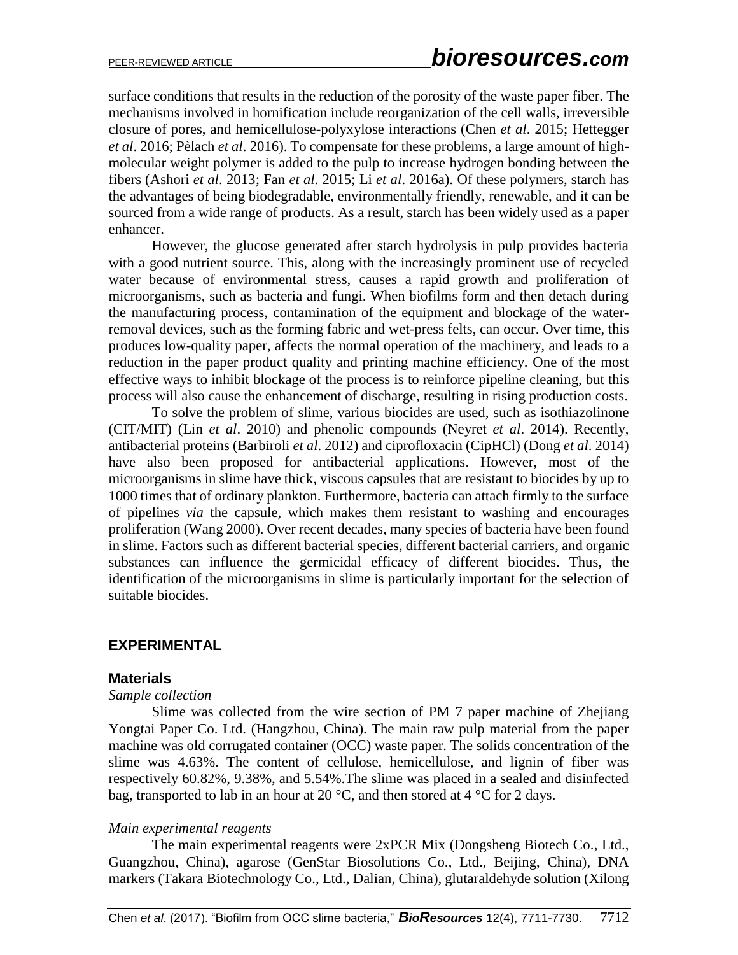surface conditions that results in the reduction of the porosity of the waste paper fiber. The mechanisms involved in hornification include reorganization of the cell walls, irreversible closure of pores, and hemicellulose-polyxylose interactions (Chen *et al*. 2015; Hettegger *et al*. 2016; Pèlach *et al*. 2016). To compensate for these problems, a large amount of highmolecular weight polymer is added to the pulp to increase hydrogen bonding between the fibers (Ashori *et al*. 2013; Fan *et al*. 2015; Li *et al*. 2016a). Of these polymers, starch has the advantages of being biodegradable, environmentally friendly, renewable, and it can be sourced from a wide range of products. As a result, starch has been widely used as a paper enhancer.

However, the glucose generated after starch hydrolysis in pulp provides bacteria with a good nutrient source. This, along with the increasingly prominent use of recycled water because of environmental stress, causes a rapid growth and proliferation of microorganisms, such as bacteria and fungi. When biofilms form and then detach during the manufacturing process, contamination of the equipment and blockage of the waterremoval devices, such as the forming fabric and wet-press felts, can occur. Over time, this produces low-quality paper, affects the normal operation of the machinery, and leads to a reduction in the paper product quality and printing machine efficiency. One of the most effective ways to inhibit blockage of the process is to reinforce pipeline cleaning, but this process will also cause the enhancement of discharge, resulting in rising production costs.

To solve the problem of slime, various biocides are used, such as isothiazolinone (CIT/MIT) (Lin *et al*. 2010) and phenolic compounds (Neyret *et al*. 2014). Recently, antibacterial proteins (Barbiroli *et al*. 2012) and ciprofloxacin (CipHCl) (Dong *et al*. 2014) have also been proposed for antibacterial applications. However, most of the microorganisms in slime have thick, viscous capsules that are resistant to biocides by up to 1000 times that of ordinary plankton. Furthermore, bacteria can attach firmly to the surface of pipelines *via* the capsule, which makes them resistant to washing and encourages proliferation (Wang 2000). Over recent decades, many species of bacteria have been found in slime. Factors such as different bacterial species, different bacterial carriers, and organic substances can influence the germicidal efficacy of different biocides. Thus, the identification of the microorganisms in slime is particularly important for the selection of suitable biocides.

## **EXPERIMENTAL**

#### **Materials**

#### *Sample collection*

Slime was collected from the wire section of PM 7 paper machine of Zhejiang Yongtai Paper Co. Ltd. (Hangzhou, China). The main raw pulp material from the paper machine was old corrugated container (OCC) waste paper. The solids concentration of the slime was 4.63%. The content of cellulose, hemicellulose, and lignin of fiber was respectively 60.82%, 9.38%, and 5.54%.The slime was placed in a sealed and disinfected bag, transported to lab in an hour at 20  $\degree$ C, and then stored at 4  $\degree$ C for 2 days.

#### *Main experimental reagents*

The main experimental reagents were 2xPCR Mix (Dongsheng Biotech Co., Ltd., Guangzhou, China), agarose (GenStar Biosolutions Co., Ltd., Beijing, China), DNA markers (Takara Biotechnology Co., Ltd., Dalian, China), glutaraldehyde solution (Xilong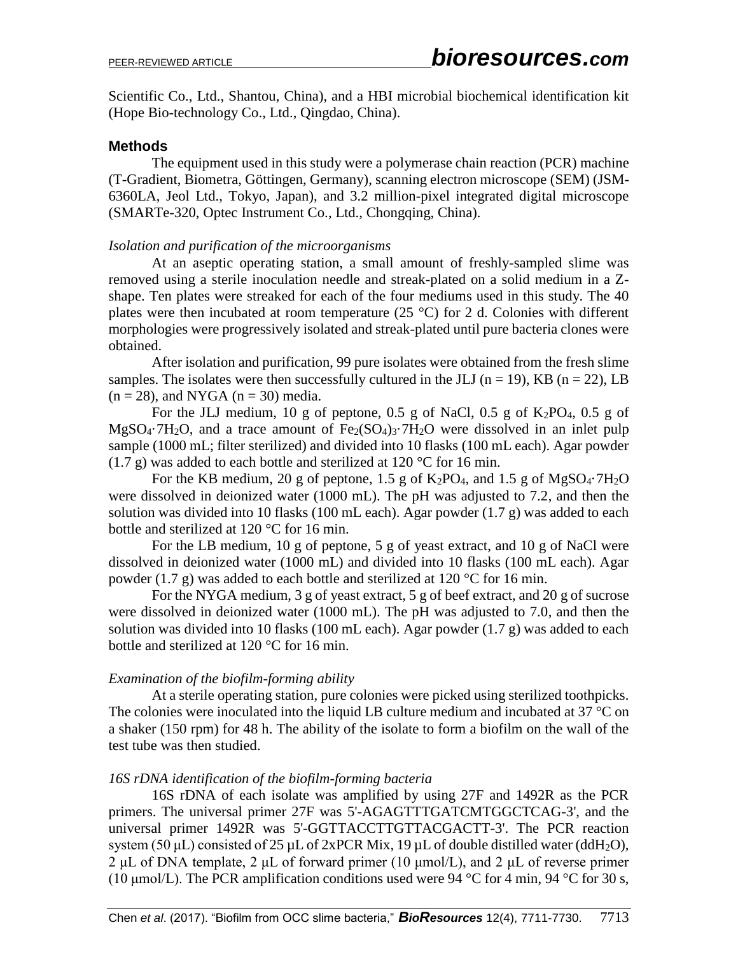Scientific Co., Ltd., Shantou, China), and a HBI microbial biochemical identification kit (Hope Bio-technology Co., Ltd., Qingdao, China).

#### **Methods**

The equipment used in this study were a polymerase chain reaction (PCR) machine (T-Gradient, Biometra, Göttingen, Germany), scanning electron microscope (SEM) (JSM-6360LA, Jeol Ltd., Tokyo, Japan), and 3.2 million-pixel integrated digital microscope (SMARTe-320, Optec Instrument Co., Ltd., Chongqing, China).

#### *Isolation and purification of the microorganisms*

At an aseptic operating station, a small amount of freshly-sampled slime was removed using a sterile inoculation needle and streak-plated on a solid medium in a Zshape. Ten plates were streaked for each of the four mediums used in this study. The 40 plates were then incubated at room temperature  $(25 \degree C)$  for 2 d. Colonies with different morphologies were progressively isolated and streak-plated until pure bacteria clones were obtained.

After isolation and purification, 99 pure isolates were obtained from the fresh slime samples. The isolates were then successfully cultured in the JLJ ( $n = 19$ ), KB ( $n = 22$ ), LB  $(n = 28)$ , and NYGA  $(n = 30)$  media.

For the JLJ medium, 10 g of peptone, 0.5 g of NaCl, 0.5 g of  $K_2PO_4$ , 0.5 g of  $MgSO_4$ <sup>-7</sup>H<sub>2</sub>O, and a trace amount of  $Fe<sub>2</sub>(SO<sub>4</sub>)<sub>3</sub>$ <sup>-7</sup>H<sub>2</sub>O were dissolved in an inlet pulp sample (1000 mL; filter sterilized) and divided into 10 flasks (100 mL each). Agar powder  $(1.7 \text{ g})$  was added to each bottle and sterilized at 120 °C for 16 min.

For the KB medium, 20 g of peptone, 1.5 g of  $K_2PO_4$ , and 1.5 g of  $MgSO_4 \cdot 7H_2O$ were dissolved in deionized water (1000 mL). The pH was adjusted to 7.2, and then the solution was divided into 10 flasks (100 mL each). Agar powder (1.7 g) was added to each bottle and sterilized at 120 °C for 16 min.

For the LB medium, 10 g of peptone, 5 g of yeast extract, and 10 g of NaCl were dissolved in deionized water (1000 mL) and divided into 10 flasks (100 mL each). Agar powder (1.7 g) was added to each bottle and sterilized at 120  $\degree$ C for 16 min.

For the NYGA medium, 3 g of yeast extract, 5 g of beef extract, and 20 g of sucrose were dissolved in deionized water (1000 mL). The pH was adjusted to 7.0, and then the solution was divided into 10 flasks (100 mL each). Agar powder  $(1.7 g)$  was added to each bottle and sterilized at 120 °C for 16 min.

#### *Examination of the biofilm-forming ability*

At a sterile operating station, pure colonies were picked using sterilized toothpicks. The colonies were inoculated into the liquid LB culture medium and incubated at 37 °C on a shaker (150 rpm) for 48 h. The ability of the isolate to form a biofilm on the wall of the test tube was then studied.

#### *16S rDNA identification of the biofilm-forming bacteria*

16S rDNA of each isolate was amplified by using 27F and 1492R as the PCR primers. The universal primer 27F was 5'-AGAGTTTGATCMTGGCTCAG-3', and the universal primer 1492R was 5'-GGTTACCTTGTTACGACTT-3'. The PCR reaction system (50  $\mu$ L) consisted of 25  $\mu$ L of 2xPCR Mix, 19  $\mu$ L of double distilled water (ddH<sub>2</sub>O), 2 μL of DNA template, 2 μL of forward primer (10  $\mu$ mol/L), and 2 μL of reverse primer (10 µmol/L). The PCR amplification conditions used were 94 °C for 4 min, 94 °C for 30 s,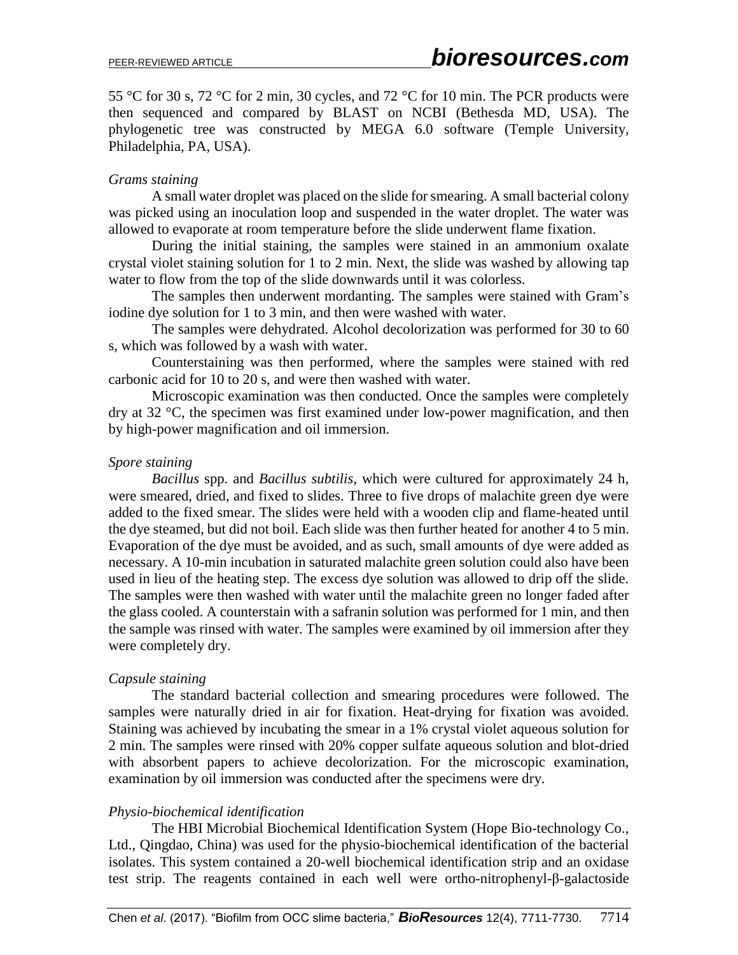55 °C for 30 s, 72 °C for 2 min, 30 cycles, and 72 °C for 10 min. The PCR products were then sequenced and compared by BLAST on NCBI (Bethesda MD, USA). The phylogenetic tree was constructed by MEGA 6.0 software (Temple University, Philadelphia, PA, USA).

#### *Grams staining*

A small water droplet was placed on the slide for smearing. A small bacterial colony was picked using an inoculation loop and suspended in the water droplet. The water was allowed to evaporate at room temperature before the slide underwent flame fixation.

During the initial staining, the samples were stained in an ammonium oxalate crystal violet staining solution for 1 to 2 min. Next, the slide was washed by allowing tap water to flow from the top of the slide downwards until it was colorless.

The samples then underwent mordanting. The samples were stained with Gram's iodine dye solution for 1 to 3 min, and then were washed with water.

The samples were dehydrated. Alcohol decolorization was performed for 30 to 60 s, which was followed by a wash with water.

Counterstaining was then performed, where the samples were stained with red carbonic acid for 10 to 20 s, and were then washed with water.

Microscopic examination was then conducted. Once the samples were completely dry at 32 °C, the specimen was first examined under low-power magnification, and then by high-power magnification and oil immersion.

#### *Spore staining*

*Bacillus* spp. and *Bacillus subtilis*, which were cultured for approximately 24 h, were smeared, dried, and fixed to slides. Three to five drops of malachite green dye were added to the fixed smear. The slides were held with a wooden clip and flame-heated until the dye steamed, but did not boil. Each slide was then further heated for another 4 to 5 min. Evaporation of the dye must be avoided, and as such, small amounts of dye were added as necessary. A 10-min incubation in saturated malachite green solution could also have been used in lieu of the heating step. The excess dye solution was allowed to drip off the slide. The samples were then washed with water until the malachite green no longer faded after the glass cooled. A counterstain with a safranin solution was performed for 1 min, and then the sample was rinsed with water. The samples were examined by oil immersion after they were completely dry.

## *Capsule staining*

The standard bacterial collection and smearing procedures were followed. The samples were naturally dried in air for fixation. Heat-drying for fixation was avoided. Staining was achieved by incubating the smear in a 1% crystal violet aqueous solution for 2 min. The samples were rinsed with 20% copper sulfate aqueous solution and blot-dried with absorbent papers to achieve decolorization. For the microscopic examination, examination by oil immersion was conducted after the specimens were dry.

## *Physio-biochemical identification*

The HBI Microbial Biochemical Identification System (Hope Bio-technology Co., Ltd., Qingdao, China) was used for the physio-biochemical identification of the bacterial isolates. This system contained a 20-well biochemical identification strip and an oxidase test strip. The reagents contained in each well were ortho-nitrophenyl-β-galactoside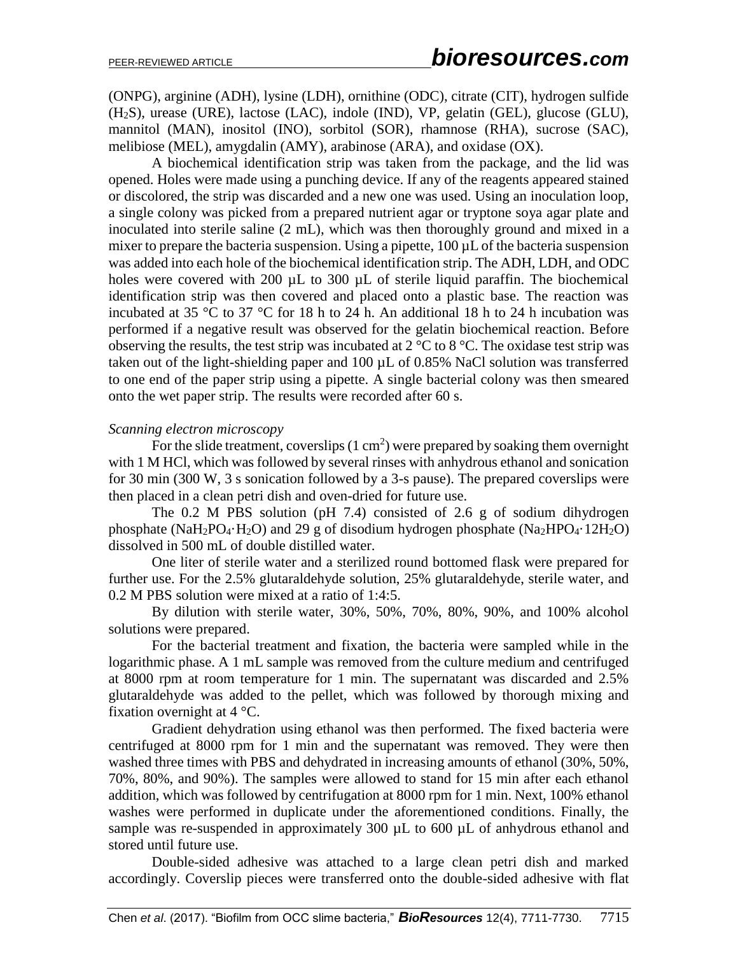(ONPG), arginine (ADH), lysine (LDH), ornithine (ODC), citrate (CIT), hydrogen sulfide (H2S), urease (URE), lactose (LAC), indole (IND), VP, gelatin (GEL), glucose (GLU), mannitol (MAN), inositol (INO), sorbitol (SOR), rhamnose (RHA), sucrose (SAC), melibiose (MEL), amygdalin (AMY), arabinose (ARA), and oxidase (OX).

A biochemical identification strip was taken from the package, and the lid was opened. Holes were made using a punching device. If any of the reagents appeared stained or discolored, the strip was discarded and a new one was used. Using an inoculation loop, a single colony was picked from a prepared nutrient agar or tryptone soya agar plate and inoculated into sterile saline (2 mL), which was then thoroughly ground and mixed in a mixer to prepare the bacteria suspension. Using a pipette, 100  $\mu$ L of the bacteria suspension was added into each hole of the biochemical identification strip. The ADH, LDH, and ODC holes were covered with 200  $\mu$ L to 300  $\mu$ L of sterile liquid paraffin. The biochemical identification strip was then covered and placed onto a plastic base. The reaction was incubated at 35  $\degree$ C to 37  $\degree$ C for 18 h to 24 h. An additional 18 h to 24 h incubation was performed if a negative result was observed for the gelatin biochemical reaction. Before observing the results, the test strip was incubated at  $2^{\circ}C$  to  $8^{\circ}C$ . The oxidase test strip was taken out of the light-shielding paper and 100 µL of 0.85% NaCl solution was transferred to one end of the paper strip using a pipette. A single bacterial colony was then smeared onto the wet paper strip. The results were recorded after 60 s.

#### *Scanning electron microscopy*

For the slide treatment, coverslips  $(1 \text{ cm}^2)$  were prepared by soaking them overnight with 1 M HCl, which was followed by several rinses with anhydrous ethanol and sonication for 30 min (300 W, 3 s sonication followed by a 3-s pause). The prepared coverslips were then placed in a clean petri dish and oven-dried for future use.

The 0.2 M PBS solution (pH 7.4) consisted of 2.6 g of sodium dihydrogen phosphate (NaH<sub>2</sub>PO<sub>4</sub>·H<sub>2</sub>O) and 29 g of disodium hydrogen phosphate (Na<sub>2</sub>HPO<sub>4</sub>·12H<sub>2</sub>O) dissolved in 500 mL of double distilled water.

One liter of sterile water and a sterilized round bottomed flask were prepared for further use. For the 2.5% glutaraldehyde solution, 25% glutaraldehyde, sterile water, and 0.2 M PBS solution were mixed at a ratio of 1:4:5.

By dilution with sterile water, 30%, 50%, 70%, 80%, 90%, and 100% alcohol solutions were prepared.

For the bacterial treatment and fixation, the bacteria were sampled while in the logarithmic phase. A 1 mL sample was removed from the culture medium and centrifuged at 8000 rpm at room temperature for 1 min. The supernatant was discarded and 2.5% glutaraldehyde was added to the pellet, which was followed by thorough mixing and fixation overnight at  $4^{\circ}$ C.

Gradient dehydration using ethanol was then performed. The fixed bacteria were centrifuged at 8000 rpm for 1 min and the supernatant was removed. They were then washed three times with PBS and dehydrated in increasing amounts of ethanol (30%, 50%, 70%, 80%, and 90%). The samples were allowed to stand for 15 min after each ethanol addition, which was followed by centrifugation at 8000 rpm for 1 min. Next, 100% ethanol washes were performed in duplicate under the aforementioned conditions. Finally, the sample was re-suspended in approximately 300  $\mu$ L to 600  $\mu$ L of anhydrous ethanol and stored until future use.

Double-sided adhesive was attached to a large clean petri dish and marked accordingly. Coverslip pieces were transferred onto the double-sided adhesive with flat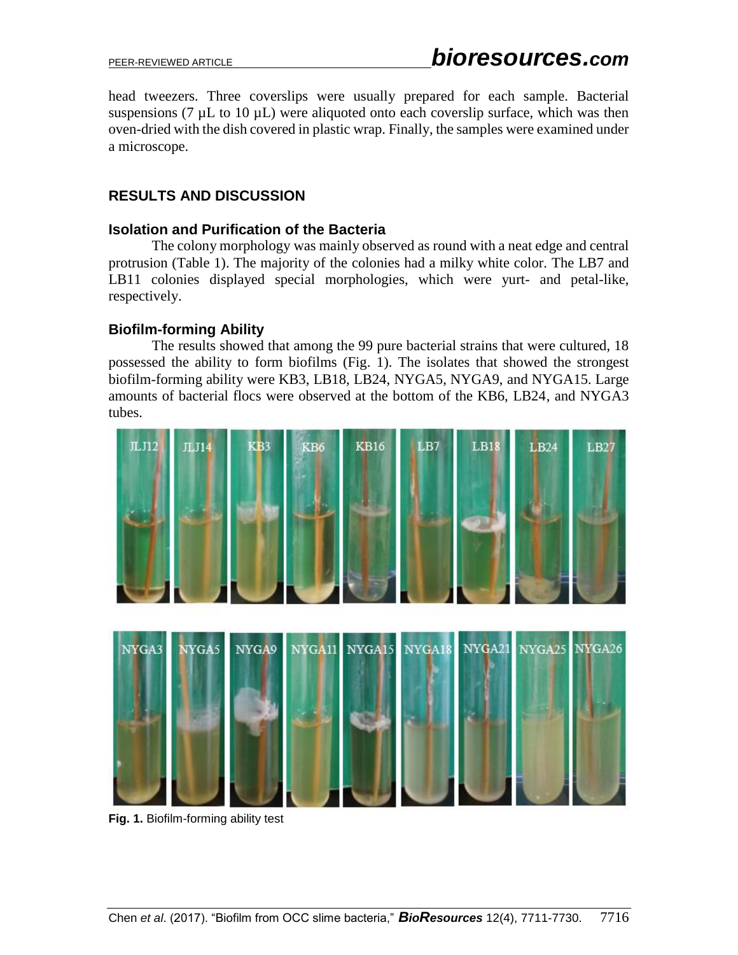head tweezers. Three coverslips were usually prepared for each sample. Bacterial suspensions (7  $\mu$ L to 10  $\mu$ L) were aliquoted onto each coverslip surface, which was then oven-dried with the dish covered in plastic wrap. Finally, the samples were examined under a microscope.

## **RESULTS AND DISCUSSION**

#### **Isolation and Purification of the Bacteria**

The colony morphology was mainly observed as round with a neat edge and central protrusion (Table 1). The majority of the colonies had a milky white color. The LB7 and LB11 colonies displayed special morphologies, which were yurt- and petal-like, respectively.

## **Biofilm-forming Ability**

The results showed that among the 99 pure bacterial strains that were cultured, 18 possessed the ability to form biofilms (Fig. 1). The isolates that showed the strongest biofilm-forming ability were KB3, LB18, LB24, NYGA5, NYGA9, and NYGA15. Large amounts of bacterial flocs were observed at the bottom of the KB6, LB24, and NYGA3 tubes.



**Fig. 1.** Biofilm-forming ability test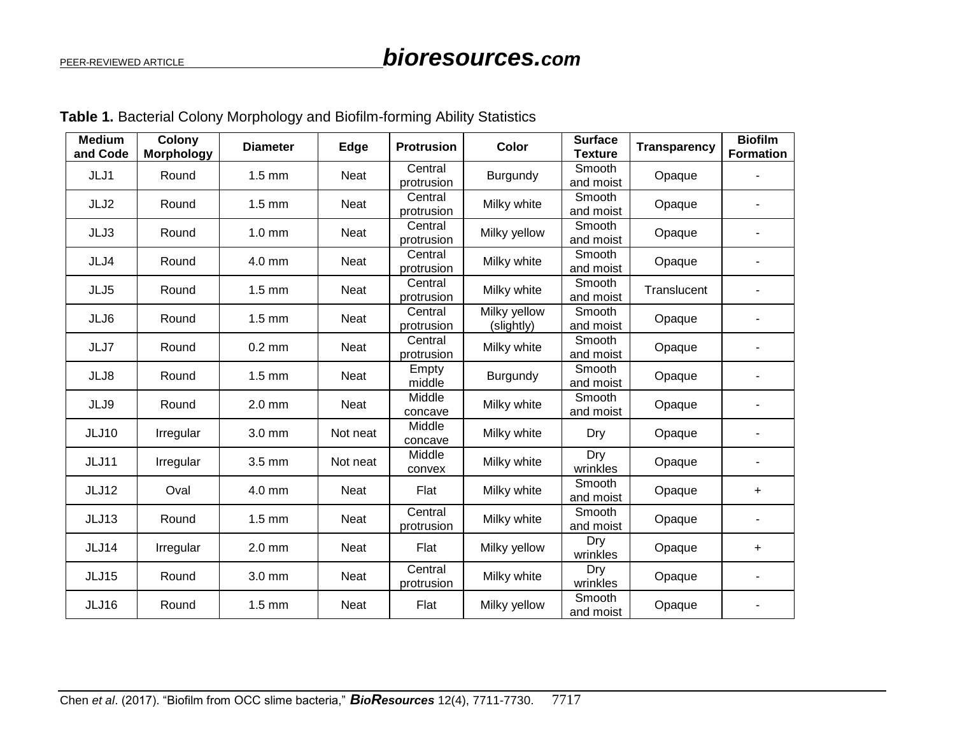| <b>Medium</b><br>and Code | Colony<br><b>Morphology</b> | <b>Diameter</b>  | Edge        | <b>Protrusion</b>     | Color                                     | <b>Surface</b><br><b>Texture</b> | <b>Transparency</b> | <b>Biofilm</b><br><b>Formation</b> |
|---------------------------|-----------------------------|------------------|-------------|-----------------------|-------------------------------------------|----------------------------------|---------------------|------------------------------------|
| JLJ1                      | Round                       | $1.5$ mm         | Neat        | Central<br>protrusion | Burgundy                                  | Smooth<br>and moist              | Opaque              |                                    |
| JLJ2                      | Round                       | $1.5$ mm         | Neat        | Central<br>protrusion | Milky white                               | Smooth<br>and moist              | Opaque              |                                    |
| JLJ3                      | Round                       | $1.0 \text{ mm}$ | Neat        | Central<br>protrusion | Milky yellow                              | Smooth<br>and moist              | Opaque              |                                    |
| JLJ4                      | Round                       | 4.0 mm           | Neat        | Central<br>protrusion | Milky white                               | Smooth<br>and moist              | Opaque              |                                    |
| JLJ5                      | Round                       | $1.5 \text{ mm}$ | Neat        | Central<br>protrusion | Milky white                               | Smooth<br>and moist              | Translucent         |                                    |
| JLJ6                      | Round                       | $1.5 \text{ mm}$ | Neat        | Central<br>protrusion | Milky yellow<br>(slightly)                | Smooth<br>and moist              | Opaque              |                                    |
| JLJ7                      | Round                       | $0.2$ mm         | Neat        | Central<br>protrusion | Milky white                               | Smooth<br>and moist              | Opaque              |                                    |
| JLJ8                      | Round                       | $1.5$ mm         | Neat        | Empty<br>middle       | Burgundy                                  | Smooth<br>and moist              | Opaque              |                                    |
| JLJ9                      | Round                       | $2.0$ mm         | Neat        | Middle<br>concave     | Milky white                               | Smooth<br>and moist              | Opaque              |                                    |
| <b>JLJ10</b>              | Irregular                   | 3.0 mm           | Not neat    | Middle<br>concave     | Milky white                               | Dry                              | Opaque              |                                    |
| <b>JLJ11</b>              | Irregular                   | 3.5 mm           | Not neat    | Middle<br>convex      | Milky white                               | Dry<br>wrinkles                  | Opaque              |                                    |
| JLJ12                     | Oval                        | $4.0$ mm         | <b>Neat</b> | Flat                  | Milky white                               | Smooth<br>and moist              | Opaque              | $\ddot{}$                          |
| JLJ13                     | Round                       | $1.5$ mm         | Neat        | Central<br>protrusion | Milky white                               | Smooth<br>and moist              | Opaque              |                                    |
| JLJ14                     | Irregular                   | $2.0$ mm         | Neat        | Flat                  | Dry<br>Milky yellow<br>Opaque<br>wrinkles |                                  |                     | $\ddot{}$                          |
| <b>JLJ15</b>              | Round                       | 3.0 mm           | Neat        | Central<br>protrusion | Milky white                               | Dry<br>wrinkles                  | Opaque              |                                    |
| <b>JLJ16</b>              | Round                       | $1.5$ mm         | <b>Neat</b> | Flat                  | Milky yellow                              | Smooth<br>and moist              | Opaque              |                                    |

**Table 1.** Bacterial Colony Morphology and Biofilm-forming Ability Statistics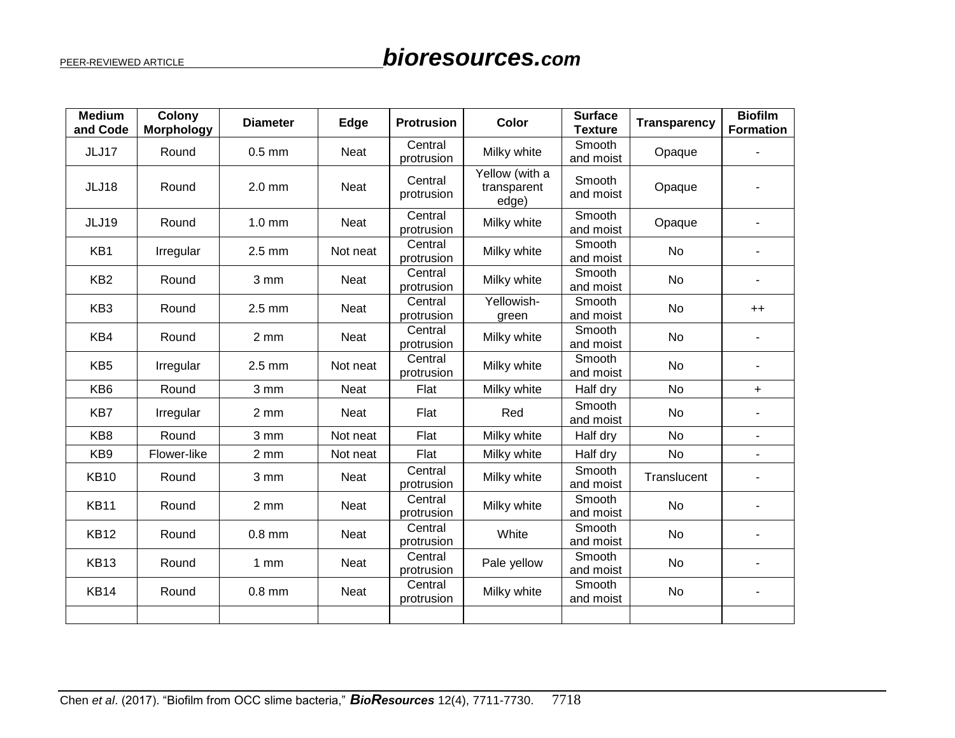| <b>Medium</b><br>and Code | Colony<br><b>Morphology</b> | <b>Diameter</b>  | Edge        | Protrusion            | <b>Color</b>                           | <b>Surface</b><br><b>Texture</b> | <b>Transparency</b> | <b>Biofilm</b><br><b>Formation</b> |
|---------------------------|-----------------------------|------------------|-------------|-----------------------|----------------------------------------|----------------------------------|---------------------|------------------------------------|
| JLJ17                     | Round                       | $0.5$ mm         | Neat        | Central<br>protrusion | Milky white                            | Smooth<br>and moist              | Opaque              |                                    |
| JLJ18                     | Round                       | $2.0$ mm         | Neat        | Central<br>protrusion | Yellow (with a<br>transparent<br>edge) | Smooth<br>and moist              | Opaque              |                                    |
| <b>JLJ19</b>              | Round                       | $1.0$ mm         | Neat        | Central<br>protrusion | Milky white                            | Smooth<br>and moist              | Opaque              |                                    |
| KB1                       | Irregular                   | $2.5$ mm         | Not neat    | Central<br>protrusion | Milky white                            | Smooth<br>and moist              | No                  |                                    |
| KB <sub>2</sub>           | Round                       | 3 mm             | Neat        | Central<br>protrusion | Milky white                            | Smooth<br>and moist              | No                  |                                    |
| KB <sub>3</sub>           | Round                       | $2.5$ mm         | <b>Neat</b> | Central<br>protrusion | Yellowish-<br>green                    | Smooth<br>and moist              | No                  | $++$                               |
| KB4                       | Round                       | $2 \, \text{mm}$ | Neat        | Central<br>protrusion | Milky white                            | Smooth<br>and moist              | No                  |                                    |
| KB <sub>5</sub>           | Irregular                   | $2.5 \text{ mm}$ | Not neat    | Central<br>protrusion | Milky white                            | Smooth<br>and moist              | No                  | L.                                 |
| KB <sub>6</sub>           | Round                       | 3 mm             | <b>Neat</b> | Flat                  | Milky white                            | Half dry                         | <b>No</b>           | $+$                                |
| KB7                       | Irregular                   | 2 mm             | <b>Neat</b> | Flat                  | Red                                    | Smooth<br>and moist              | No                  |                                    |
| KB8                       | Round                       | 3 mm             | Not neat    | Flat                  | Milky white                            | Half dry                         | No                  | $\blacksquare$                     |
| KB <sub>9</sub>           | Flower-like                 | $2 \, \text{mm}$ | Not neat    | Flat                  | Milky white                            | Half dry                         | No                  |                                    |
| <b>KB10</b>               | Round                       | 3 mm             | Neat        | Central<br>protrusion | Milky white                            | Smooth<br>and moist              | Translucent         |                                    |
| <b>KB11</b>               | Round                       | 2 mm             | <b>Neat</b> | Central<br>protrusion | Milky white                            | Smooth<br>and moist              | No                  |                                    |
| <b>KB12</b>               | Round                       | $0.8$ mm         | Neat        | Central<br>protrusion | White                                  | Smooth<br>and moist              | No                  |                                    |
| <b>KB13</b>               | Round                       | 1mm              | Neat        | Central<br>protrusion | Pale yellow                            | Smooth<br>and moist              | No                  |                                    |
| <b>KB14</b>               | Round                       | $0.8$ mm         | Neat        | Central<br>protrusion | Milky white                            | Smooth<br>and moist              | No                  |                                    |
|                           |                             |                  |             |                       |                                        |                                  |                     |                                    |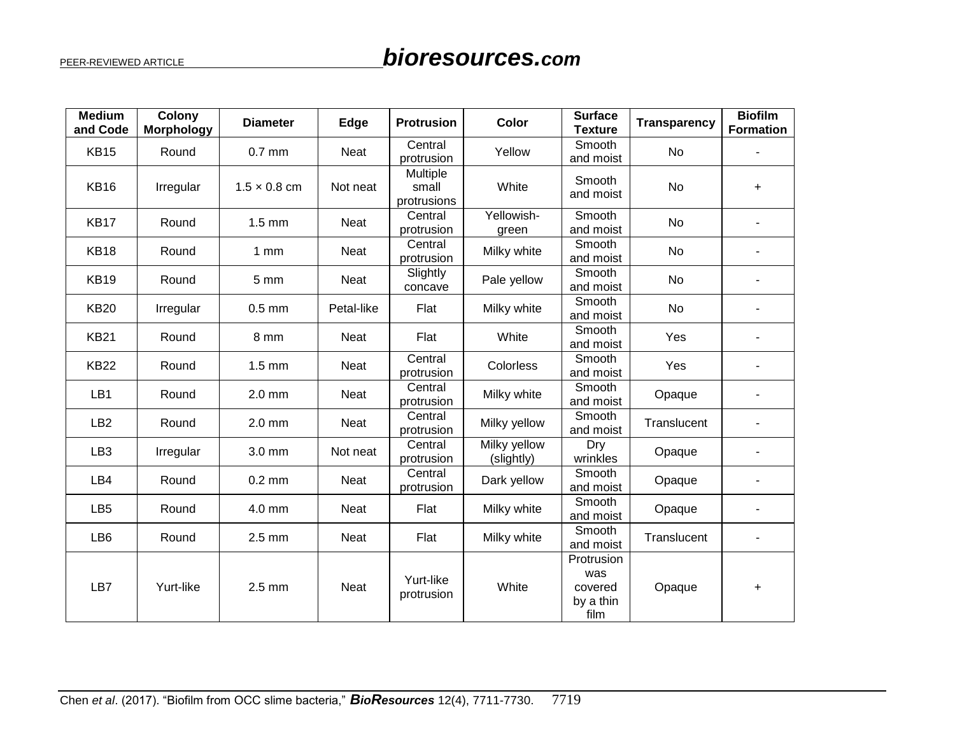| <b>Medium</b><br>and Code | Colony<br><b>Morphology</b> | <b>Diameter</b>     | Edge        | <b>Protrusion</b>                | <b>Color</b>               | <b>Surface</b><br><b>Texture</b>                  | <b>Transparency</b> | <b>Biofilm</b><br><b>Formation</b> |
|---------------------------|-----------------------------|---------------------|-------------|----------------------------------|----------------------------|---------------------------------------------------|---------------------|------------------------------------|
| <b>KB15</b>               | Round                       | $0.7$ mm            | Neat        | Central<br>protrusion            | Yellow                     | Smooth<br>and moist                               | No                  |                                    |
| <b>KB16</b>               | Irregular                   | $1.5 \times 0.8$ cm | Not neat    | Multiple<br>small<br>protrusions | White                      | Smooth<br>and moist                               | No                  | $\ddot{}$                          |
| <b>KB17</b>               | Round                       | $1.5 \text{ mm}$    | Neat        | Central<br>protrusion            | Yellowish-<br>green        | Smooth<br>and moist                               | <b>No</b>           | L,                                 |
| <b>KB18</b>               | Round                       | $1$ mm              | Neat        | Central<br>protrusion            | Milky white                | Smooth<br>and moist                               | <b>No</b>           |                                    |
| <b>KB19</b>               | Round                       | 5 mm                | Neat        | Slightly<br>concave              | Pale yellow                | Smooth<br>and moist                               | No                  |                                    |
| <b>KB20</b>               | Irregular                   | $0.5$ mm            | Petal-like  | Flat                             | Milky white                | Smooth<br>No<br>and moist                         |                     |                                    |
| <b>KB21</b>               | Round                       | 8 mm                | Neat        | Flat                             | White                      | Smooth<br>and moist                               | Yes                 | $\overline{a}$                     |
| <b>KB22</b>               | Round                       | $1.5 \text{ mm}$    | Neat        | Central<br>protrusion            | Colorless                  | Smooth<br>and moist                               | Yes                 |                                    |
| LB1                       | Round                       | $2.0$ mm            | Neat        | Central<br>protrusion            | Milky white                | Smooth<br>and moist                               | Opaque              | ٠                                  |
| LB <sub>2</sub>           | Round                       | $2.0$ mm            | Neat        | Central<br>protrusion            | Milky yellow               | Smooth<br>and moist                               | Translucent         |                                    |
| LB <sub>3</sub>           | Irregular                   | 3.0 mm              | Not neat    | Central<br>protrusion            | Milky yellow<br>(slightly) | Dry<br>wrinkles                                   | Opaque              |                                    |
| LB4                       | Round                       | $0.2$ mm            | Neat        | Central<br>protrusion            | Dark yellow                | Smooth<br>and moist                               | Opaque              | ٠                                  |
| LB <sub>5</sub>           | Round                       | 4.0 mm              | Neat        | Flat                             | Milky white                | Smooth<br>and moist                               | Opaque              |                                    |
| LB <sub>6</sub>           | Round                       | $2.5$ mm            | <b>Neat</b> | Flat                             | Milky white                | Smooth<br>Translucent<br>and moist                |                     | L.                                 |
| LB7                       | Yurt-like                   | $2.5$ mm            | <b>Neat</b> | Yurt-like<br>protrusion          | White                      | Protrusion<br>was<br>covered<br>by a thin<br>film | Opaque              | $\ddot{}$                          |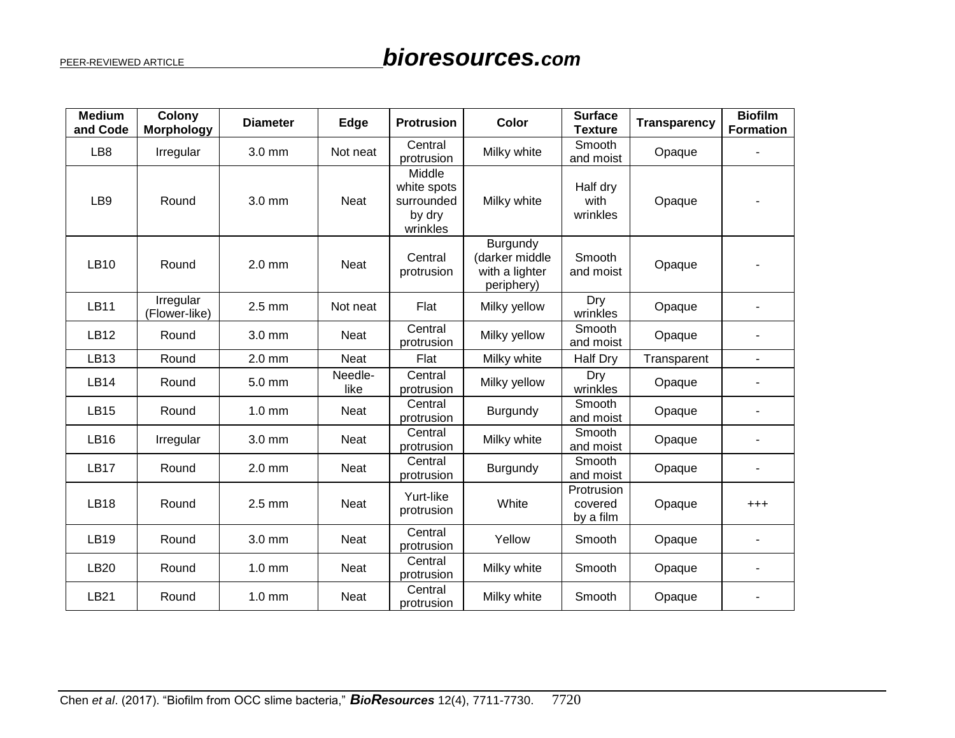| <b>Medium</b><br>and Code | Colony<br><b>Morphology</b> | <b>Diameter</b> | Edge            | <b>Protrusion</b>                                         | <b>Color</b>                                               | <b>Surface</b><br><b>Texture</b> | <b>Transparency</b> | <b>Biofilm</b><br><b>Formation</b> |
|---------------------------|-----------------------------|-----------------|-----------------|-----------------------------------------------------------|------------------------------------------------------------|----------------------------------|---------------------|------------------------------------|
| LB <sub>8</sub>           | Irregular                   | 3.0 mm          | Not neat        | Central<br>protrusion                                     | Milky white                                                | Smooth<br>and moist              | Opaque              |                                    |
| LB9                       | Round                       | 3.0 mm          | <b>Neat</b>     | Middle<br>white spots<br>surrounded<br>by dry<br>wrinkles | Milky white                                                | Half dry<br>with<br>wrinkles     | Opaque              |                                    |
| <b>LB10</b>               | Round                       | $2.0$ mm        | Neat            | Central<br>protrusion                                     | Burgundy<br>(darker middle<br>with a lighter<br>periphery) | Smooth<br>and moist              | Opaque              |                                    |
| <b>LB11</b>               | Irregular<br>(Flower-like)  | $2.5$ mm        | Not neat        | Flat                                                      | Dry<br>Milky yellow<br>wrinkles                            |                                  | Opaque              |                                    |
| <b>LB12</b>               | Round                       | 3.0 mm          | Neat            | Central<br>protrusion                                     | Smooth<br>Milky yellow<br>and moist                        |                                  | Opaque              |                                    |
| <b>LB13</b>               | Round                       | $2.0$ mm        | <b>Neat</b>     | Flat                                                      | Milky white                                                | <b>Half Dry</b>                  | Transparent         |                                    |
| <b>LB14</b>               | Round                       | $5.0$ mm        | Needle-<br>like | Central<br>protrusion                                     | Milky yellow                                               | Dry<br>wrinkles                  | Opaque              |                                    |
| <b>LB15</b>               | Round                       | $1.0$ mm        | <b>Neat</b>     | Central<br>protrusion                                     | Burgundy                                                   | Smooth<br>and moist              | Opaque              |                                    |
| <b>LB16</b>               | Irregular                   | 3.0 mm          | <b>Neat</b>     | Central<br>protrusion                                     | Milky white                                                | Smooth<br>and moist              | Opaque              |                                    |
| <b>LB17</b>               | Round                       | $2.0$ mm        | <b>Neat</b>     | Central<br>protrusion                                     | Burgundy                                                   | Smooth<br>and moist              | Opaque              |                                    |
| <b>LB18</b>               | Round                       | $2.5$ mm        | <b>Neat</b>     | Yurt-like<br>protrusion                                   | Protrusion<br>White<br>covered<br>by a film                |                                  | Opaque              | $^{+++}$                           |
| <b>LB19</b>               | Round                       | 3.0 mm          | <b>Neat</b>     | Central<br>protrusion                                     | Yellow<br>Smooth<br>Opaque                                 |                                  |                     |                                    |
| <b>LB20</b>               | Round                       | $1.0$ mm        | <b>Neat</b>     | Central<br>protrusion                                     | Milky white<br>Smooth<br>Opaque                            |                                  |                     |                                    |
| LB21                      | Round                       | $1.0$ mm        | <b>Neat</b>     | Central<br>protrusion                                     | Milky white                                                | Smooth                           | Opaque              |                                    |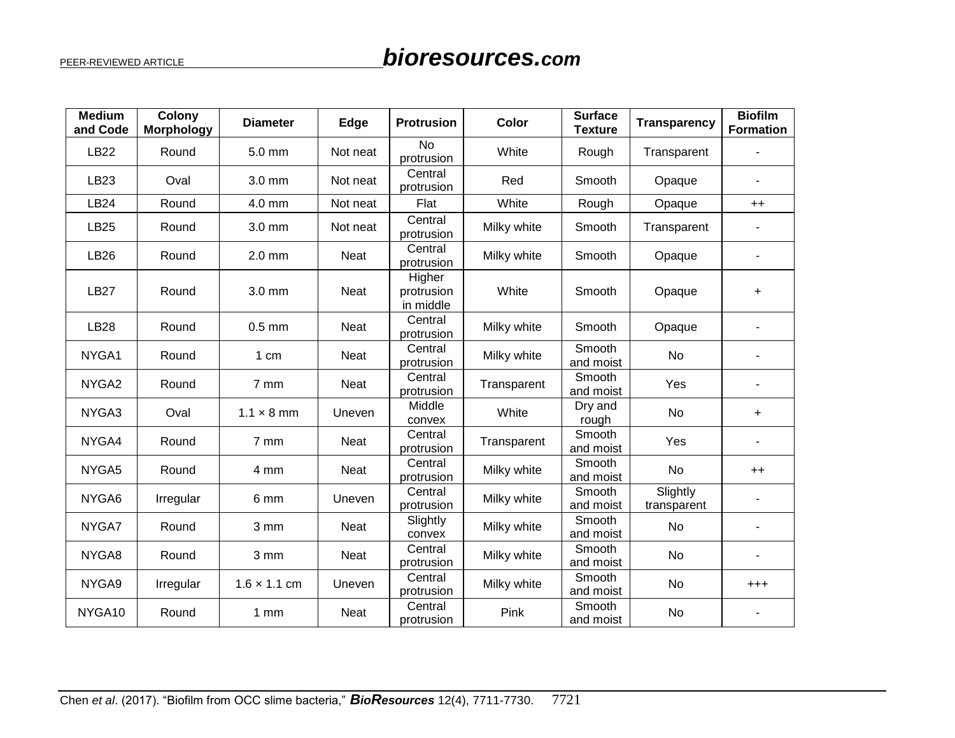| <b>Medium</b><br>and Code | Colony<br><b>Morphology</b> | <b>Diameter</b>     | Edge        | <b>Protrusion</b>                              | Color                              | <b>Surface</b><br><b>Texture</b> | <b>Transparency</b>     | <b>Biofilm</b><br><b>Formation</b> |
|---------------------------|-----------------------------|---------------------|-------------|------------------------------------------------|------------------------------------|----------------------------------|-------------------------|------------------------------------|
| <b>LB22</b>               | Round                       | 5.0 mm              | Not neat    | <b>No</b><br>protrusion                        | White                              | Rough                            | Transparent             |                                    |
| LB23                      | Oval                        | 3.0 mm              | Not neat    | Central<br>protrusion                          | Red                                | Smooth                           | Opaque                  | ä,                                 |
| <b>LB24</b>               | Round                       | 4.0 mm              | Not neat    | Flat                                           | White                              | Rough                            | Opaque                  | $++$                               |
| <b>LB25</b>               | Round                       | $3.0 \text{ mm}$    | Not neat    | Central<br>Milky white<br>Smooth<br>protrusion |                                    | Transparent                      |                         |                                    |
| <b>LB26</b>               | Round                       | $2.0$ mm            | Neat        | Central<br>protrusion                          | Milky white                        | Smooth                           | Opaque                  |                                    |
| <b>LB27</b>               | Round                       | $3.0$ mm            | <b>Neat</b> | Higher<br>protrusion<br>in middle              | White                              | Smooth<br>Opaque                 |                         | $\ddot{}$                          |
| <b>LB28</b>               | Round                       | $0.5$ mm            | <b>Neat</b> | Central<br>protrusion                          | Milky white<br>Smooth              |                                  | Opaque                  |                                    |
| NYGA1                     | Round                       | 1 cm                | <b>Neat</b> | Central<br>protrusion                          | Milky white                        | Smooth<br>and moist              | No                      |                                    |
| NYGA2                     | Round                       | 7 mm                | <b>Neat</b> | Central<br>protrusion                          | Smooth<br>Transparent<br>and moist |                                  | Yes                     |                                    |
| NYGA3                     | Oval                        | $1.1 \times 8$ mm   | Uneven      | Middle<br>convex                               | White                              | Dry and<br>rough                 | No                      | $\ddot{}$                          |
| NYGA4                     | Round                       | 7 mm                | Neat        | Central<br>protrusion                          | Transparent                        | Smooth<br>and moist              | Yes                     |                                    |
| NYGA5                     | Round                       | 4 mm                | <b>Neat</b> | Central<br>protrusion                          | Milky white                        | Smooth<br>and moist              | No                      | $++$                               |
| NYGA6                     | Irregular                   | 6 mm                | Uneven      | Central<br>protrusion                          | Milky white                        | Smooth<br>and moist              | Slightly<br>transparent |                                    |
| NYGA7                     | Round                       | 3 mm                | Neat        | Slightly<br>convex                             | Milky white                        | Smooth<br>and moist              | No                      |                                    |
| NYGA8                     | Round                       | 3 mm                | Neat        | Central<br>protrusion                          | Milky white                        | Smooth<br>and moist              | No                      |                                    |
| NYGA9                     | Irregular                   | $1.6 \times 1.1$ cm | Uneven      | Central<br>protrusion                          | Milky white                        | Smooth<br>and moist              | <b>No</b>               | $^{+++}$                           |
| NYGA10                    | Round                       | 1 <sub>mm</sub>     | <b>Neat</b> | Central<br>protrusion                          | Pink                               | Smooth<br>and moist              | No                      |                                    |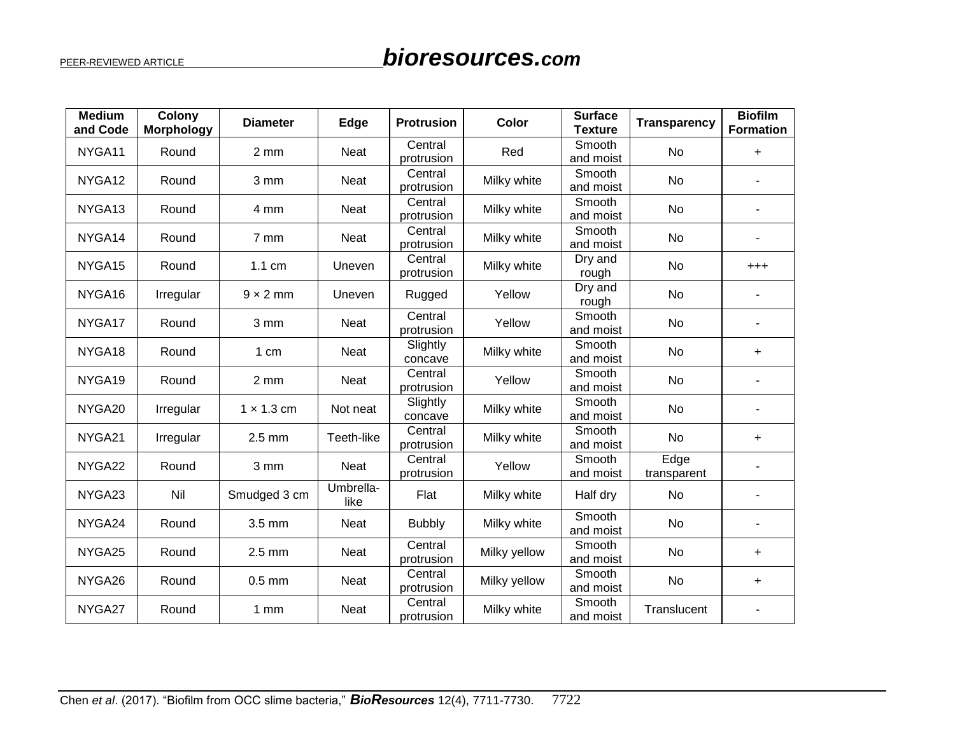| <b>Medium</b><br>and Code | Colony<br><b>Morphology</b> | <b>Diameter</b>   | Edge              | <b>Protrusion</b>     | Color                         | <b>Surface</b><br><b>Texture</b> | <b>Transparency</b> | <b>Biofilm</b><br><b>Formation</b> |
|---------------------------|-----------------------------|-------------------|-------------------|-----------------------|-------------------------------|----------------------------------|---------------------|------------------------------------|
| NYGA11                    | Round                       | 2 mm              | <b>Neat</b>       | Central<br>protrusion | Red                           | Smooth<br>and moist              | <b>No</b>           | $\ddot{}$                          |
| NYGA <sub>12</sub>        | Round                       | 3 mm              | <b>Neat</b>       | Central<br>protrusion | Milky white                   | Smooth<br>and moist              | <b>No</b>           |                                    |
| NYGA <sub>13</sub>        | Round                       | 4 mm              | <b>Neat</b>       | Central<br>protrusion | Milky white                   | Smooth<br>and moist              | No                  |                                    |
| NYGA14                    | Round                       | $7 \text{ mm}$    | Neat              | Central<br>protrusion | Milky white                   | Smooth<br>and moist              | <b>No</b>           |                                    |
| NYGA15                    | Round                       | $1.1 \text{ cm}$  | Uneven            | Central<br>protrusion | Milky white                   | Dry and<br>rough                 | No                  | $^{+++}$                           |
| NYGA16                    | Irregular                   | $9 \times 2$ mm   | Uneven            | Rugged                | Yellow                        | Dry and<br>rough                 | No                  |                                    |
| NYGA17                    | Round                       | 3 mm              | Neat              | Central<br>protrusion | Smooth<br>Yellow<br>and moist |                                  | No                  |                                    |
| NYGA18                    | Round                       | 1 cm              | <b>Neat</b>       | Slightly<br>concave   | Milky white                   | Smooth<br>and moist              | <b>No</b>           | $\ddot{}$                          |
| NYGA19                    | Round                       | 2 mm              | Neat              | Central<br>protrusion | Yellow                        | Smooth<br>and moist              | No                  |                                    |
| NYGA20                    | Irregular                   | $1 \times 1.3$ cm | Not neat          | Slightly<br>concave   | Milky white                   | Smooth<br>and moist              | No                  |                                    |
| NYGA21                    | Irregular                   | $2.5$ mm          | Teeth-like        | Central<br>protrusion | Milky white                   | Smooth<br>and moist              | No                  | +                                  |
| NYGA22                    | Round                       | 3 mm              | <b>Neat</b>       | Central<br>protrusion | Yellow                        | Smooth<br>and moist              | Edge<br>transparent |                                    |
| NYGA23                    | Nil                         | Smudged 3 cm      | Umbrella-<br>like | Flat                  | Milky white                   | Half dry                         | No                  |                                    |
| NYGA24                    | Round                       | 3.5 mm            | Neat              | <b>Bubbly</b>         | Milky white                   | Smooth<br>and moist              | <b>No</b>           | $\overline{\phantom{a}}$           |
| NYGA25                    | Round                       | $2.5$ mm          | <b>Neat</b>       | Central<br>protrusion | Milky yellow                  | Smooth<br>and moist              | <b>No</b>           | $\ddot{}$                          |
| NYGA26                    | Round                       | $0.5$ mm          | <b>Neat</b>       | Central<br>protrusion | Milky yellow                  | Smooth<br>and moist              | <b>No</b>           | $\ddot{}$                          |
| NYGA27                    | Round                       | $1 \, \text{mm}$  | Neat              | Central<br>protrusion | Milky white                   | Smooth<br>and moist              | Translucent         | $\overline{\phantom{a}}$           |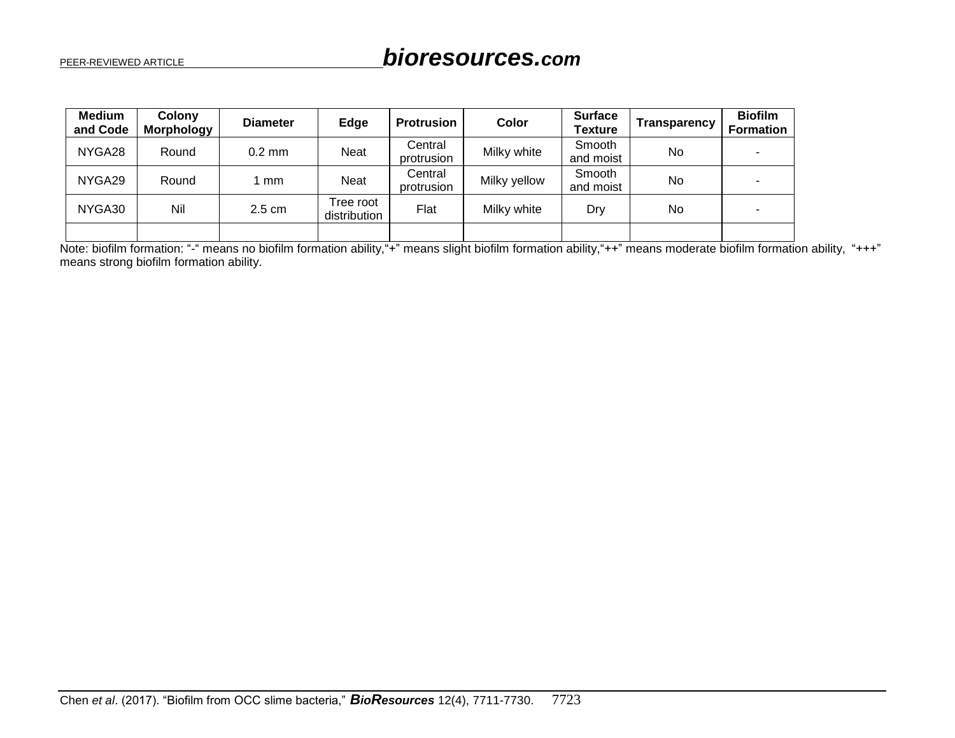| <b>Medium</b><br>and Code | <b>Colony</b><br><b>Morphology</b> | <b>Diameter</b>  | Edge                      | <b>Protrusion</b>     | Color        | <b>Surface</b><br><b>Texture</b> | Transparency | <b>Biofilm</b><br><b>Formation</b> |
|---------------------------|------------------------------------|------------------|---------------------------|-----------------------|--------------|----------------------------------|--------------|------------------------------------|
| NYGA28                    | Round                              | $0.2 \text{ mm}$ | Neat                      | Central<br>protrusion | Milky white  | <b>Smooth</b><br>and moist       | No           |                                    |
| NYGA29                    | Round                              | mm               | Neat                      | Central<br>protrusion | Milky yellow | Smooth<br>and moist              | No           |                                    |
| NYGA30                    | Nil                                | $2.5 \text{ cm}$ | Tree root<br>distribution | Flat                  | Milky white  | Dry                              | <b>No</b>    |                                    |
|                           |                                    |                  |                           |                       |              |                                  |              |                                    |

Note: biofilm formation: "-" means no biofilm formation ability, "+" means slight biofilm formation ability, "++" means moderate biofilm formation ability, "+++" means strong biofilm formation ability.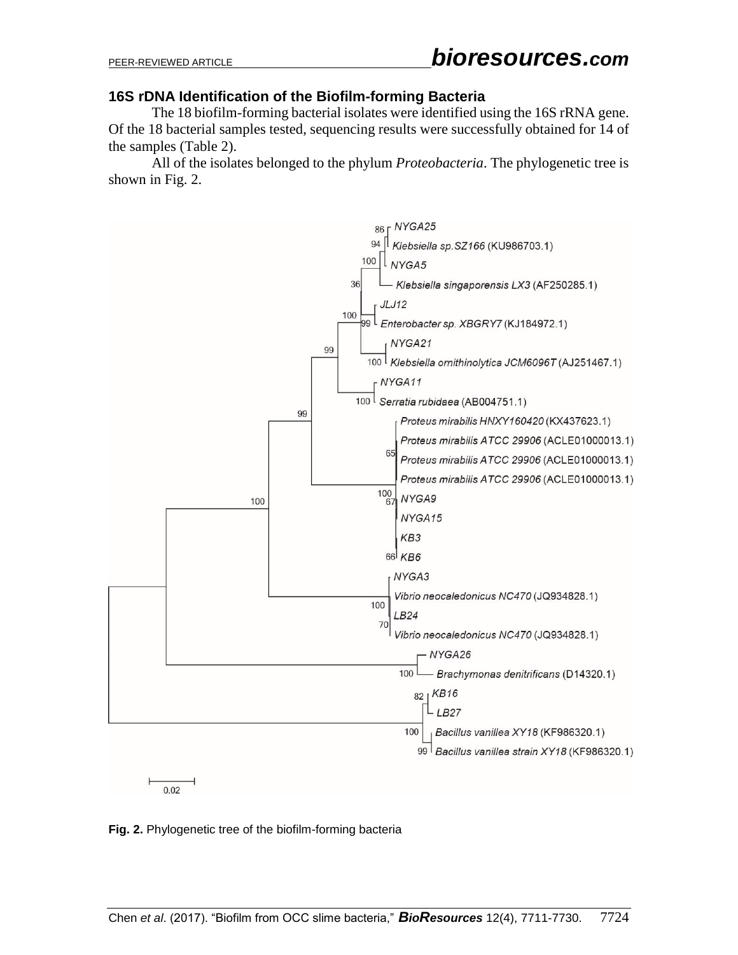## **16S rDNA Identification of the Biofilm-forming Bacteria**

The 18 biofilm-forming bacterial isolates were identified using the 16S rRNA gene. Of the 18 bacterial samples tested, sequencing results were successfully obtained for 14 of the samples (Table 2).

All of the isolates belonged to the phylum *Proteobacteria*. The phylogenetic tree is shown in Fig. 2.



**Fig. 2.** Phylogenetic tree of the biofilm-forming bacteria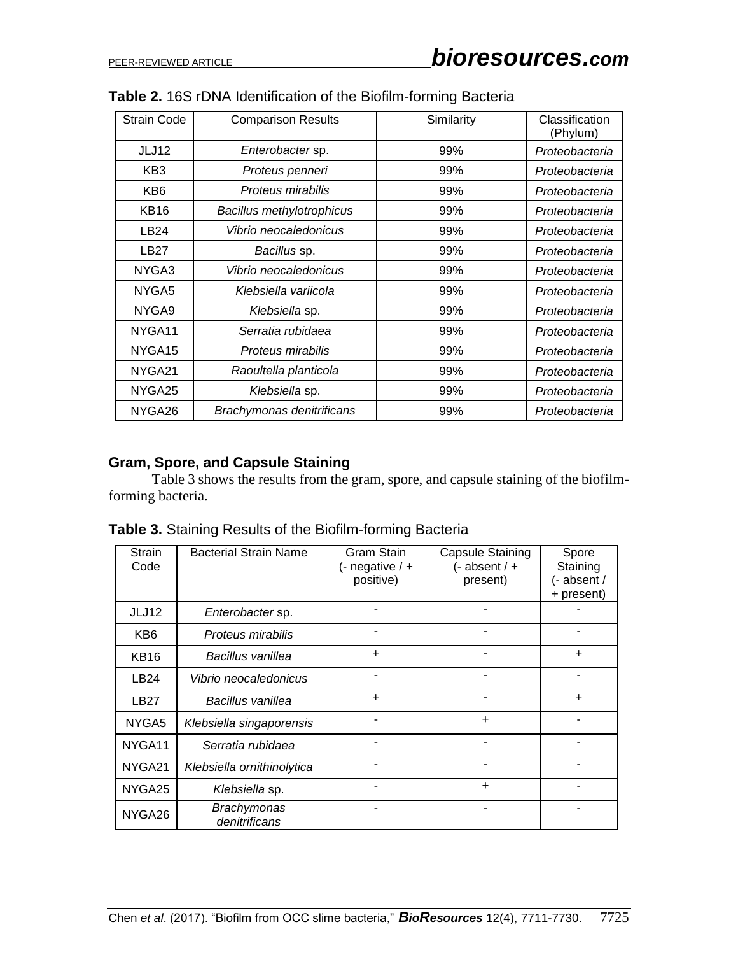| <b>Strain Code</b> | <b>Comparison Results</b>        | Similarity | Classification<br>(Phylum) |
|--------------------|----------------------------------|------------|----------------------------|
| JLJ12              | <i>Enterobacter</i> sp.          | 99%        | Proteobacteria             |
| KB <sub>3</sub>    | Proteus penneri                  | 99%        | Proteobacteria             |
| KB <sub>6</sub>    | Proteus mirabilis                | 99%        | Proteobacteria             |
| <b>KB16</b>        | <b>Bacillus methylotrophicus</b> | 99%        | Proteobacteria             |
| <b>LB24</b>        | Vibrio neocaledonicus            | 99%        | Proteobacteria             |
| <b>LB27</b>        | Bacillus sp.                     | 99%        | Proteobacteria             |
| NYGA3              | Vibrio neocaledonicus            | 99%        | Proteobacteria             |
| NYGA5              | Klebsiella variicola             | 99%        | Proteobacteria             |
| NYGA9              | Klebsiella sp.                   | 99%        | Proteobacteria             |
| NYGA11             | Serratia rubidaea                | 99%        | Proteobacteria             |
| NYGA15             | Proteus mirabilis                | 99%        | Proteobacteria             |
| NYGA21             | Raoultella planticola            | 99%        | Proteobacteria             |
| NYGA25             | Klebsiella sp.                   | 99%        | Proteobacteria             |
| NYGA26             | Brachymonas denitrificans        | 99%        | Proteobacteria             |

|  |  | Table 2. 16S rDNA Identification of the Biofilm-forming Bacteria |
|--|--|------------------------------------------------------------------|
|--|--|------------------------------------------------------------------|

## **Gram, Spore, and Capsule Staining**

Table 3 shows the results from the gram, spore, and capsule staining of the biofilmforming bacteria.

|                       | able 3. Staining Results of the Biofilm-forming Bacteria |                                                |                                                 |                                                |
|-----------------------|----------------------------------------------------------|------------------------------------------------|-------------------------------------------------|------------------------------------------------|
| <b>Strain</b><br>Code | <b>Bacterial Strain Name</b>                             | Gram Stain<br>$(-$ negative $/ +$<br>positive) | Capsule Staining<br>$(-$ absent / +<br>present) | Spore<br>Staining<br>(- absent /<br>+ present) |
| JLJ12                 | <i>Enterobacter</i> sp.                                  |                                                |                                                 |                                                |
| KB <sub>6</sub>       | Proteus mirabilis                                        |                                                |                                                 |                                                |
| KB16                  | Bacillus vanillea                                        | $\ddot{}$                                      |                                                 | $\ddot{}$                                      |
| LB <sub>24</sub>      | Vibrio neocaledonicus                                    | ۰                                              |                                                 |                                                |
| LB <sub>27</sub>      | Bacillus vanillea                                        | $\ddot{}$                                      |                                                 | $\ddot{}$                                      |
| NYGA5                 | Klebsiella singaporensis                                 |                                                | $\ddot{}$                                       |                                                |
| NYGA11                | Serratia rubidaea                                        |                                                |                                                 |                                                |
| NYGA21                | Klebsiella ornithinolytica                               |                                                |                                                 |                                                |
| NYGA25                | Klebsiella sp.                                           |                                                | $+$                                             |                                                |
| NYGA26                | <b>Brachymonas</b><br>denitrificans                      |                                                |                                                 |                                                |

**Table 3.** Staining Results of the Biofilm-forming Bacteria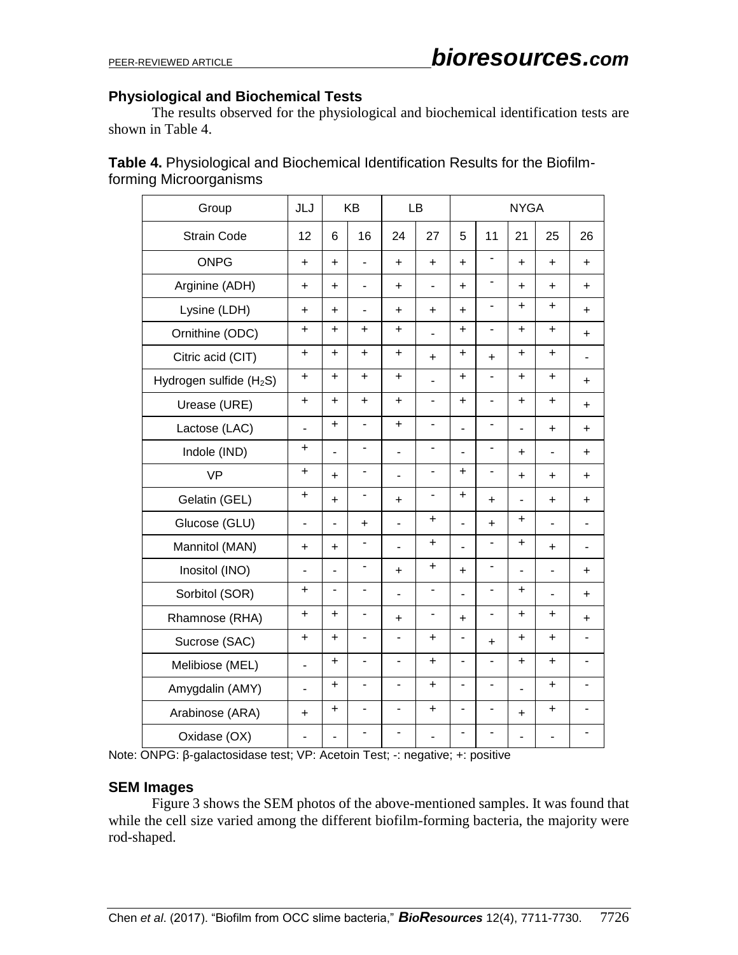#### **Physiological and Biochemical Tests**

The results observed for the physiological and biochemical identification tests are shown in Table 4.

| <b>Table 4.</b> Physiological and Biochemical Identification Results for the Biofilm- |  |
|---------------------------------------------------------------------------------------|--|
| forming Microorganisms                                                                |  |

| Group                               | JLJ            |                | KB                           |                          | LB                           |                          |                              | <b>NYGA</b>    |                          |                          |
|-------------------------------------|----------------|----------------|------------------------------|--------------------------|------------------------------|--------------------------|------------------------------|----------------|--------------------------|--------------------------|
| <b>Strain Code</b>                  | 12             | 6              | 16                           | 24                       | 27                           | 5                        | 11                           | 21             | 25                       | 26                       |
| <b>ONPG</b>                         | $\ddot{}$      | $\ddot{}$      | $\overline{\phantom{0}}$     | $\ddot{}$                | $\ddot{}$                    | $\ddot{}$                |                              | $\ddot{}$      | $\ddot{}$                | $\ddot{}$                |
| Arginine (ADH)                      | $\ddot{}$      | $\ddot{}$      | $\blacksquare$               | $\ddot{}$                | $\blacksquare$               | $\ddot{}$                |                              | $\ddot{}$      | $\ddot{}$                | $\ddot{}$                |
| Lysine (LDH)                        | $\ddot{}$      | $\ddot{}$      | $\overline{\phantom{a}}$     | $\ddot{}$                | $\ddot{}$                    | $\ddot{}$                | $\overline{\phantom{0}}$     | $\ddot{}$      | $\ddot{}$                | $\ddot{}$                |
| Ornithine (ODC)                     | $\ddot{}$      | +              | +                            | $\ddot{}$                | $\overline{a}$               | +                        | $\overline{\phantom{a}}$     | $\ddot{}$      | $\ddot{}$                | $\ddot{}$                |
| Citric acid (CIT)                   | $\ddot{}$      | $\ddot{}$      | $\ddot{}$                    | $\color{red}{+}$         | $\ddot{}$                    | $\ddot{}$                | $\ddot{}$                    | $\ddot{}$      | $\ddot{}$                | ۰                        |
| Hydrogen sulfide (H <sub>2</sub> S) | $\ddot{}$      | $\ddot{}$      | $\ddot{}$                    | $\ddot{}$                | $\overline{a}$               | +                        | ۰                            | $\ddot{}$      | $\ddot{}$                | +                        |
| Urease (URE)                        | $\ddot{}$      | ÷.             | +                            | $\ddot{}$                | $\frac{1}{2}$                | $\ddot{}$                |                              | $\ddot{}$      | $\ddot{}$                | $\ddot{}$                |
| Lactose (LAC)                       | ÷,             | $\ddot{}$      | $\overline{\phantom{0}}$     | $\ddot{}$                | $\overline{\phantom{0}}$     | ÷,                       | $\overline{\phantom{0}}$     | $\overline{a}$ | $\ddot{}$                | $\ddot{}$                |
| Indole (IND)                        | $\ddot{}$      | ÷,             | $\overline{\phantom{0}}$     | ÷,                       | $\blacksquare$               | $\overline{a}$           | $\qquad \qquad \blacksquare$ | $\ddot{}$      | ä,                       | +                        |
| <b>VP</b>                           | $\ddot{}$      | $\ddot{}$      | $\overline{\phantom{0}}$     | ÷,                       | $\blacksquare$               | $\ddot{}$                | $\blacksquare$               | $\ddot{}$      | $\ddot{}$                | +                        |
| Gelatin (GEL)                       | $\ddot{}$      | $\ddot{}$      | $\qquad \qquad \blacksquare$ | $\ddot{}$                | $\overline{\phantom{0}}$     | +                        | $\ddot{}$                    | ÷,             | $\ddot{}$                | +                        |
| Glucose (GLU)                       | $\blacksquare$ | ٠              | $\ddot{}$                    | ä,                       | +                            | $\overline{\phantom{0}}$ | $\ddot{}$                    | +              | $\overline{\phantom{0}}$ | $\blacksquare$           |
| Mannitol (MAN)                      | $\ddot{}$      | $\ddot{}$      | $\overline{\phantom{0}}$     | ÷,                       | +                            | L.                       |                              | +              | $\ddot{}$                | $\blacksquare$           |
| Inositol (INO)                      | ä,             | $\overline{a}$ | -                            | $\ddot{}$                | $\pmb{+}$                    | $\ddot{}$                | $\overline{\phantom{a}}$     |                | $\blacksquare$           | +                        |
| Sorbitol (SOR)                      | $\ddot{}$      | ä,             | $\blacksquare$               | ÷,                       | $\blacksquare$               | $\overline{\phantom{0}}$ | ä,                           | $\ddot{}$      | $\overline{\phantom{0}}$ | $\ddot{}$                |
| Rhamnose (RHA)                      | $\ddot{}$      | $\ddot{}$      | $\qquad \qquad \blacksquare$ | $\ddot{}$                | $\qquad \qquad \blacksquare$ | +                        | -                            | +              | $\ddot{}$                | +                        |
| Sucrose (SAC)                       | $\ddot{}$      | $\ddot{}$      | $\overline{\phantom{0}}$     |                          | $\ddot{}$                    | $\overline{\phantom{0}}$ | $\ddot{}$                    | +              | $\ddot{}$                |                          |
| Melibiose (MEL)                     | ä,             | $\ddot{}$      | $\frac{1}{2}$                | ä,                       | $\ddot{}$                    | $\overline{\phantom{0}}$ |                              | $\ddot{}$      | $\ddot{}$                | ÷,                       |
| Amygdalin (AMY)                     | ÷,             | +              | $\overline{a}$               | $\overline{a}$           | $\ddot{}$                    | $\overline{a}$           | $\blacksquare$               |                | $\ddot{}$                | $\blacksquare$           |
| Arabinose (ARA)                     | $\ddot{}$      | $\ddot{}$      | $\blacksquare$               | $\blacksquare$           | $\bf{+}$                     | $\blacksquare$           | $\overline{\phantom{a}}$     | +              | $\ddot{}$                | $\overline{\phantom{a}}$ |
| Oxidase (OX)                        | ٠              | -              | $\frac{1}{2}$                | $\overline{\phantom{0}}$ | $\overline{\phantom{0}}$     | -                        |                              | ٠              |                          |                          |

Note: ONPG: β-galactosidase test; VP: Acetoin Test; -: negative; +: positive

#### **SEM Images**

Figure 3 shows the SEM photos of the above-mentioned samples. It was found that while the cell size varied among the different biofilm-forming bacteria, the majority were rod-shaped.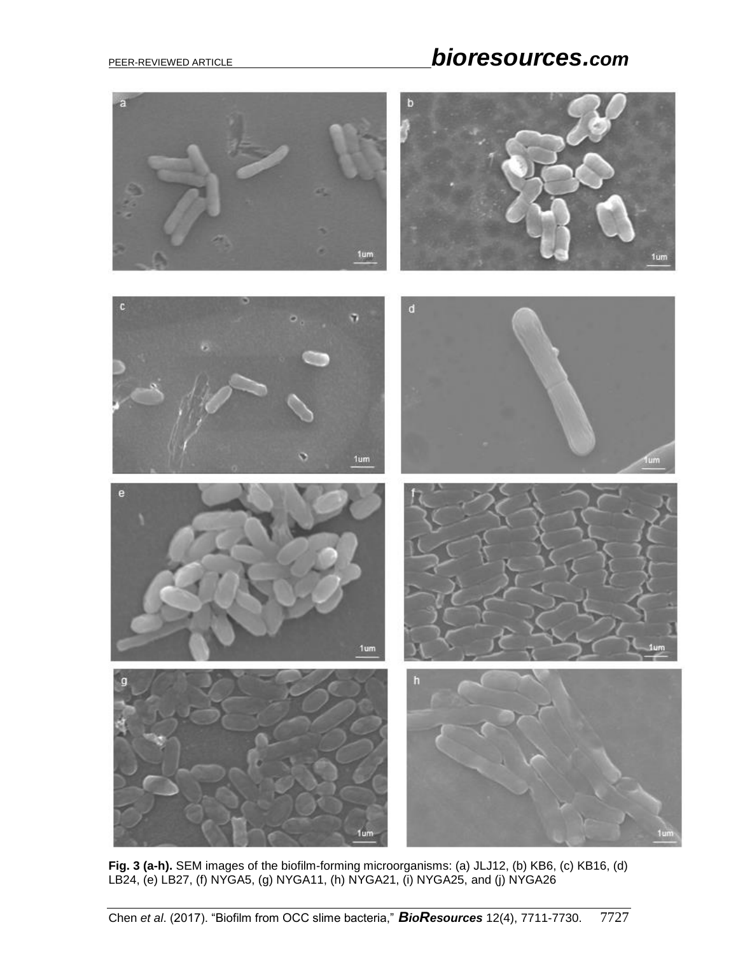# PEER-REVIEWED ARTICLE *bioresources.com*



**Fig. 3 (a-h).** SEM images of the biofilm-forming microorganisms: (a) JLJ12, (b) KB6, (c) KB16, (d) LB24, (e) LB27, (f) NYGA5, (g) NYGA11, (h) NYGA21, (i) NYGA25, and (j) NYGA26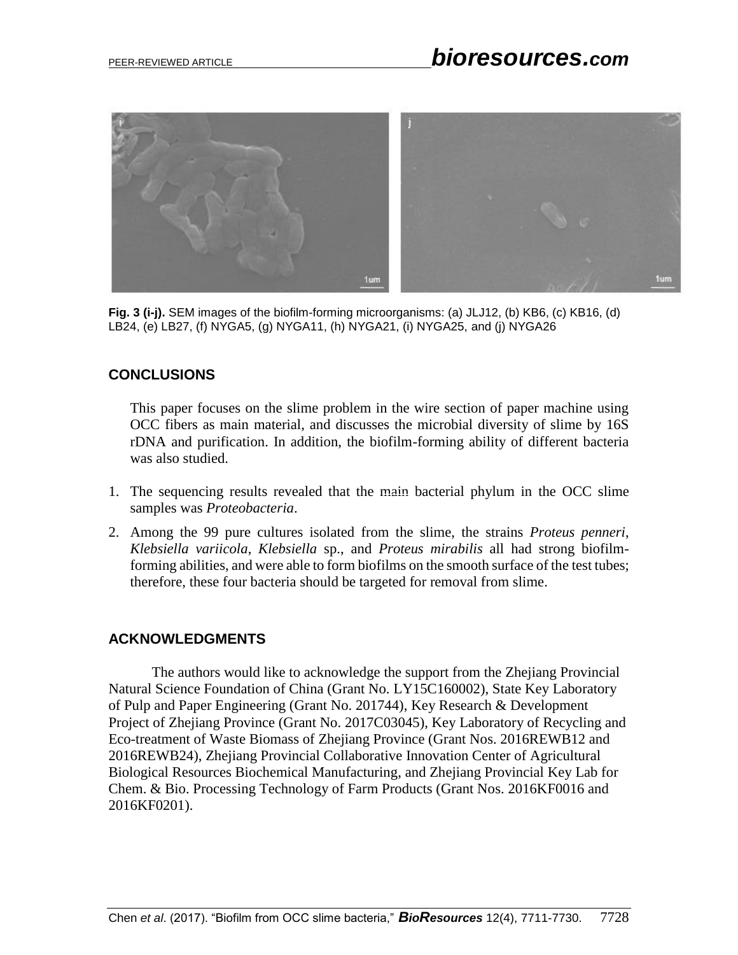

**Fig. 3 (i-j).** SEM images of the biofilm-forming microorganisms: (a) JLJ12, (b) KB6, (c) KB16, (d) LB24, (e) LB27, (f) NYGA5, (g) NYGA11, (h) NYGA21, (i) NYGA25, and (j) NYGA26

## **CONCLUSIONS**

This paper focuses on the slime problem in the wire section of paper machine using OCC fibers as main material, and discusses the microbial diversity of slime by 16S rDNA and purification. In addition, the biofilm-forming ability of different bacteria was also studied.

- 1. The sequencing results revealed that the main bacterial phylum in the OCC slime samples was *Proteobacteria*.
- 2. Among the 99 pure cultures isolated from the slime, the strains *Proteus penneri*, *Klebsiella variicola*, *Klebsiella* sp., and *Proteus mirabilis* all had strong biofilmforming abilities, and were able to form biofilms on the smooth surface of the test tubes; therefore, these four bacteria should be targeted for removal from slime.

## **ACKNOWLEDGMENTS**

The authors would like to acknowledge the support from the Zhejiang Provincial Natural Science Foundation of China (Grant No. LY15C160002), State Key Laboratory of Pulp and Paper Engineering (Grant No. 201744), Key Research & Development Project of Zhejiang Province (Grant No. 2017C03045), Key Laboratory of Recycling and Eco-treatment of Waste Biomass of Zhejiang Province (Grant Nos. 2016REWB12 and 2016REWB24), Zhejiang Provincial Collaborative Innovation Center of Agricultural Biological Resources Biochemical Manufacturing, and Zhejiang Provincial Key Lab for Chem. & Bio. Processing Technology of Farm Products (Grant Nos. 2016KF0016 and 2016KF0201).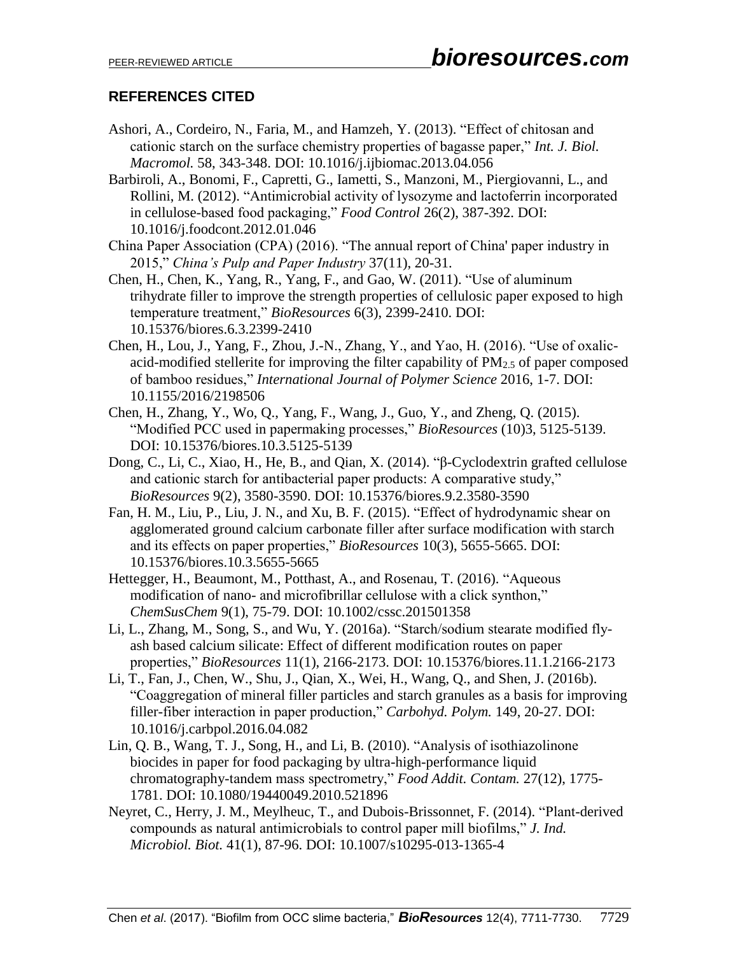## **REFERENCES CITED**

- Ashori, A., Cordeiro, N., Faria, M., and Hamzeh, Y. (2013). "Effect of chitosan and cationic starch on the surface chemistry properties of bagasse paper," *Int. J. Biol. Macromol.* 58, 343-348. DOI: [10.1016/j.ijbiomac.2013.04.056](http://dx.doi.org/10.1016/j.ijbiomac.2013.04.056)
- Barbiroli, A., Bonomi, F., Capretti, G., Iametti, S., Manzoni, M., Piergiovanni, L., and Rollini, M. (2012). "Antimicrobial activity of lysozyme and lactoferrin incorporated in cellulose-based food packaging," *Food Control* 26(2), 387-392. DOI: [10.1016/j.foodcont.2012.01.046](http://dx.doi.org/10.1016/j.foodcont.2012.01.046)
- China Paper Association (CPA) (2016). "The annual report of China' paper industry in 2015," *China's Pulp and Paper Industry* 37(11), 20-31.
- Chen, H., Chen, K., Yang, R., Yang, F., and Gao, W. (2011). "Use of aluminum trihydrate filler to improve the strength properties of cellulosic paper exposed to high temperature treatment," *BioResources* 6(3), 2399-2410. DOI: [10.15376/biores.6.3.2399-2410](http://dx.doi.org/10.15376/biores.6.3.2399-2410)
- Chen, H., Lou, J., Yang, F., Zhou, J.-N., Zhang, Y., and Yao, H. (2016). "Use of oxalicacid-modified stellerite for improving the filter capability of  $PM<sub>2.5</sub>$  of paper composed of bamboo residues," *International Journal of Polymer Science* 2016, 1-7. DOI: [10.1155/2016/2198506](http://dx.doi.org/10.1155/2016/2198506)
- Chen, H., Zhang, Y., Wo, Q., Yang, F., Wang, J., Guo, Y., and Zheng, Q. (2015). "Modified PCC used in papermaking processes," *BioResources* (10)3, 5125-5139. DOI: [10.15376/biores.10.3.5125-5139](http://dx.doi.org/10.15376/biores.10.3.5125-5139)
- Dong, C., Li, C., Xiao, H., He, B., and Qian, X. (2014). "β-Cyclodextrin grafted cellulose and cationic starch for antibacterial paper products: A comparative study," *BioResources* 9(2), 3580-3590. DOI: [10.15376/biores.9.2.3580-3590](http://dx.doi.org/10.15376/biores.9.2.3580-3590)
- Fan, H. M., Liu, P., Liu, J. N., and Xu, B. F. (2015). "Effect of hydrodynamic shear on agglomerated ground calcium carbonate filler after surface modification with starch and its effects on paper properties," *BioResources* 10(3), 5655-5665. DOI: [10.15376/biores.10.3.5655-5665](http://dx.doi.org/10.15376/biores.10.3.5655-5665)
- Hettegger, H., Beaumont, M., Potthast, A., and Rosenau, T. (2016). "Aqueous modification of nano- and microfibrillar cellulose with a click synthon," *ChemSusChem* 9(1), 75-79. DOI: [10.1002/cssc.201501358](http://dx.doi.org/10.1002/cssc.201501358)
- Li, L., Zhang, M., Song, S., and Wu, Y. (2016a). "Starch/sodium stearate modified flyash based calcium silicate: Effect of different modification routes on paper properties," *BioResources* 11(1), 2166-2173. DOI: [10.15376/biores.11.1.2166-2173](http://dx.doi.org/10.15376/biores.11.1.2166-2173)
- Li, T., Fan, J., Chen, W., Shu, J., Qian, X., Wei, H., Wang, Q., and Shen, J. (2016b). "Coaggregation of mineral filler particles and starch granules as a basis for improving filler-fiber interaction in paper production," *Carbohyd. Polym.* 149, 20-27. DOI: [10.1016/j.carbpol.2016.04.082](http://dx.doi.org/10.1016/j.carbpol.2016.04.082)
- Lin, Q. B., Wang, T. J., Song, H., and Li, B. (2010). "Analysis of isothiazolinone biocides in paper for food packaging by ultra-high-performance liquid chromatography-tandem mass spectrometry," *Food Addit. Contam.* 27(12), 1775- 1781. DOI: [10.1080/19440049.2010.521896](http://dx.doi.org/10.1080/19440049.2010.521896)
- Neyret, C., Herry, J. M., Meylheuc, T., and Dubois-Brissonnet, F. (2014). "Plant-derived compounds as natural antimicrobials to control paper mill biofilms," *J. Ind. Microbiol. Biot.* 41(1), 87-96. DOI: [10.1007/s10295-013-1365-4](http://dx.doi.org/10.1007/s10295-013-1365-4)